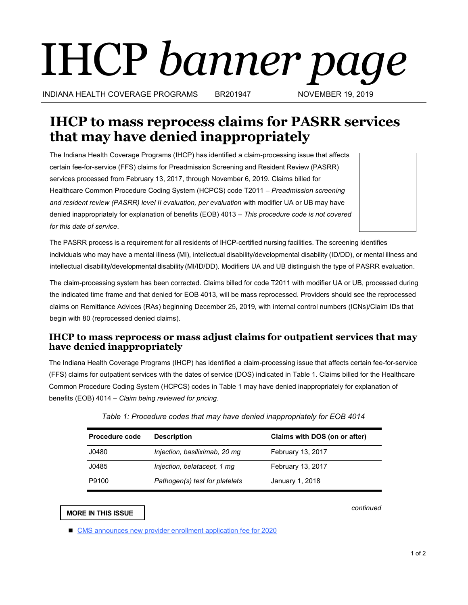# IHCP *banner page*

INDIANA HEALTH COVERAGE PROGRAMS BR201947 NOVEMBER 19, 2019

# **IHCP to mass reprocess claims for PASRR services that may have denied inappropriately**

The Indiana Health Coverage Programs (IHCP) has identified a claim-processing issue that affects certain fee-for-service (FFS) claims for Preadmission Screening and Resident Review (PASRR) services processed from February 13, 2017, through November 6, 2019. Claims billed for Healthcare Common Procedure Coding System (HCPCS) code T2011 – *Preadmission screening and resident review (PASRR) level II evaluation, per evaluation* with modifier UA or UB may have denied inappropriately for explanation of benefits (EOB) 4013 – *This procedure code is not covered for this date of service*.

The PASRR process is a requirement for all residents of IHCP-certified nursing facilities. The screening identifies individuals who may have a mental illness (MI), intellectual disability/developmental disability (ID/DD), or mental illness and intellectual disability/developmental disability (MI/ID/DD). Modifiers UA and UB distinguish the type of PASRR evaluation.

The claim-processing system has been corrected. Claims billed for code T2011 with modifier UA or UB, processed during the indicated time frame and that denied for EOB 4013, will be mass reprocessed. Providers should see the reprocessed claims on Remittance Advices (RAs) beginning December 25, 2019, with internal control numbers (ICNs)/Claim IDs that begin with 80 (reprocessed denied claims).

## **IHCP to mass reprocess or mass adjust claims for outpatient services that may have denied inappropriately**

The Indiana Health Coverage Programs (IHCP) has identified a claim-processing issue that affects certain fee-for-service (FFS) claims for outpatient services with the dates of service (DOS) indicated in Table 1. Claims billed for the Healthcare Common Procedure Coding System (HCPCS) codes in Table 1 may have denied inappropriately for explanation of benefits (EOB) 4014 – *Claim being reviewed for pricing*.

| <b>Procedure code</b> | <b>Description</b>             | Claims with DOS (on or after) |  |  |  |  |
|-----------------------|--------------------------------|-------------------------------|--|--|--|--|
| J0480                 | Injection, basiliximab, 20 mq  | February 13, 2017             |  |  |  |  |
| J0485                 | Injection, belatacept, 1 mg    | February 13, 2017             |  |  |  |  |
| P9100                 | Pathogen(s) test for platelets | January 1, 2018               |  |  |  |  |

|  |  | Table 1: Procedure codes that may have denied inappropriately for EOB 4014 |  |  |  |  |  |  |  |  |  |  |
|--|--|----------------------------------------------------------------------------|--|--|--|--|--|--|--|--|--|--|
|--|--|----------------------------------------------------------------------------|--|--|--|--|--|--|--|--|--|--|

**MORE IN THIS ISSUE**

*continued*

**CMS** announces new provider enrollment application fee for 2020